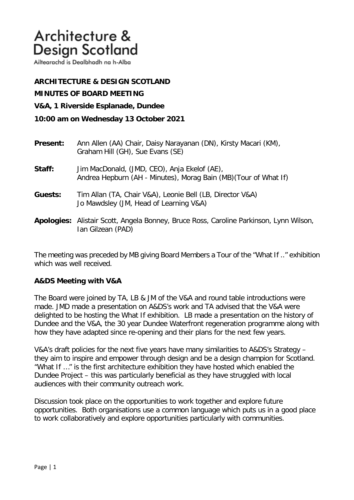# Architecture & **Design Scotland**

Ailtearachd is Dealbhadh na h-Alba

## **ARCHITECTURE & DESIGN SCOTLAND**

**MINUTES OF BOARD MEETING** 

**V&A, 1 Riverside Esplanade, Dundee** 

#### **10:00 am on Wednesday 13 October 2021**

| <b>Present:</b> | Ann Allen (AA) Chair, Daisy Narayanan (DN), Kirsty Macari (KM),<br>Graham Hill (GH), Sue Evans (SE)              |
|-----------------|------------------------------------------------------------------------------------------------------------------|
| Staff:          | Jim MacDonald, (JMD, CEO), Anja Ekelof (AE),<br>Andrea Hepburn (AH - Minutes), Morag Bain (MB) (Tour of What If) |
| Guests:         | Tim Allan (TA, Chair V&A), Leonie Bell (LB, Director V&A)<br>Jo Mawdsley (JM, Head of Learning V&A)              |
|                 | Apologies: Alistair Scott, Angela Bonney, Bruce Ross, Caroline Parkinson, Lynn Wilson,<br>Ian Gilzean (PAD)      |

The meeting was preceded by MB giving Board Members a Tour of the "What If .." exhibition which was well received.

#### **A&DS Meeting with V&A**

The Board were joined by TA, LB & JM of the V&A and round table introductions were made. JMD made a presentation on A&DS's work and TA advised that the V&A were delighted to be hosting the What If exhibition. LB made a presentation on the history of Dundee and the V&A, the 30 year Dundee Waterfront regeneration programme along with how they have adapted since re-opening and their plans for the next few years.

V&A's draft policies for the next five years have many similarities to A&DS's Strategy – they aim to inspire and empower through design and be a design champion for Scotland. "What If …" is the first architecture exhibition they have hosted which enabled the Dundee Project – this was particularly beneficial as they have struggled with local audiences with their community outreach work.

Discussion took place on the opportunities to work together and explore future opportunities. Both organisations use a common language which puts us in a good place to work collaboratively and explore opportunities particularly with communities.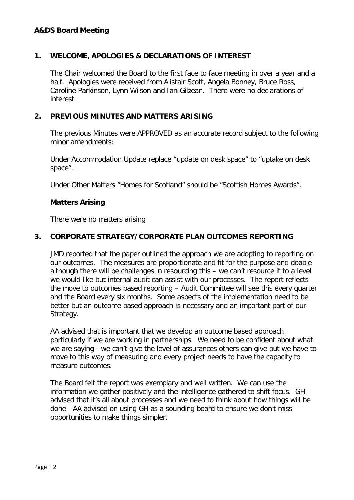#### **A&DS Board Meeting**

#### **1. WELCOME, APOLOGIES & DECLARATIONS OF INTEREST**

The Chair welcomed the Board to the first face to face meeting in over a year and a half. Apologies were received from Alistair Scott, Angela Bonney, Bruce Ross, Caroline Parkinson, Lynn Wilson and Ian Gilzean. There were no declarations of interest.

#### **2. PREVIOUS MINUTES AND MATTERS ARISING**

The previous Minutes were APPROVED as an accurate record subject to the following minor amendments:

Under Accommodation Update replace "update on desk space" to "uptake on desk space".

Under Other Matters "Homes for Scotland" should be "Scottish Homes Awards".

#### **Matters Arising**

There were no matters arising

#### **3. CORPORATE STRATEGY/CORPORATE PLAN OUTCOMES REPORTING**

 JMD reported that the paper outlined the approach we are adopting to reporting on our outcomes. The measures are proportionate and fit for the purpose and doable although there will be challenges in resourcing this – we can't resource it to a level we would like but internal audit can assist with our processes. The report reflects the move to outcomes based reporting – Audit Committee will see this every quarter and the Board every six months. Some aspects of the implementation need to be better but an outcome based approach is necessary and an important part of our Strategy.

AA advised that is important that we develop an outcome based approach particularly if we are working in partnerships. We need to be confident about what we are saying - we can't give the level of assurances others can give but we have to move to this way of measuring and every project needs to have the capacity to measure outcomes.

The Board felt the report was exemplary and well written. We can use the information we gather positively and the intelligence gathered to shift focus. GH advised that it's all about processes and we need to think about how things will be done - AA advised on using GH as a sounding board to ensure we don't miss opportunities to make things simpler.